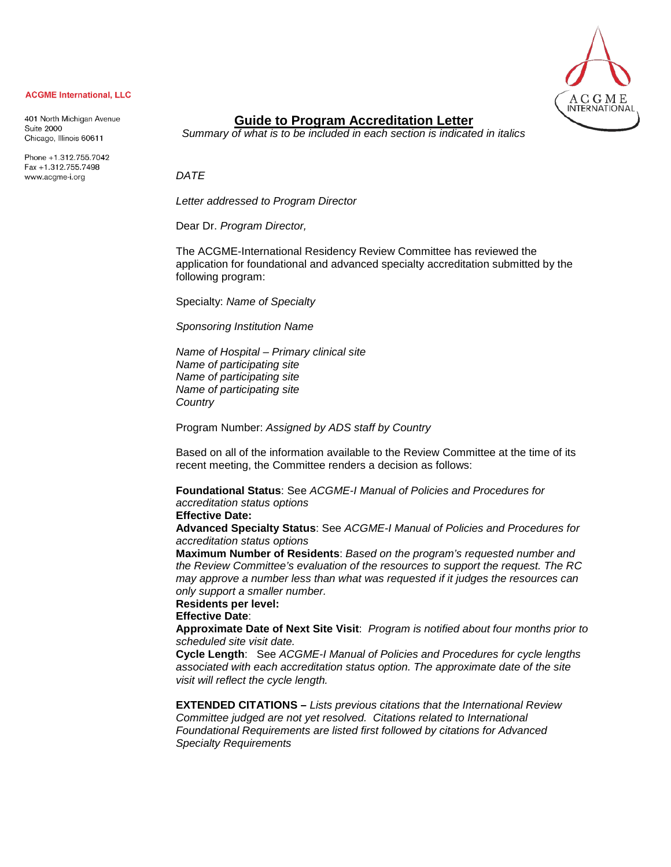

#### **ACGME International, LLC**

401 North Michigan Avenue **Suite 2000** Chicago, Illinois 60611

Phone +1.312.755.7042 Fax +1.312.755.7498 www.acgme-i.org

# **Guide to Program Accreditation Letter**

*Summary of what is to be included in each section is indicated in italics*

*DATE* 

*Letter addressed to Program Director*

Dear Dr. *Program Director,*

The ACGME-International Residency Review Committee has reviewed the application for foundational and advanced specialty accreditation submitted by the following program:

Specialty: *Name of Specialty*

*Sponsoring Institution Name*

*Name of Hospital – Primary clinical site Name of participating site Name of participating site Name of participating site Country*

Program Number: *Assigned by ADS staff by Country*

Based on all of the information available to the Review Committee at the time of its recent meeting, the Committee renders a decision as follows:

**Foundational Status**: See *ACGME-I Manual of Policies and Procedures for accreditation status options*

#### **Effective Date:**

**Advanced Specialty Status**: See *ACGME-I Manual of Policies and Procedures for accreditation status options* 

**Maximum Number of Residents**: *Based on the program's requested number and the Review Committee's evaluation of the resources to support the request. The RC may approve a number less than what was requested if it judges the resources can only support a smaller number.*

**Residents per level:**

**Effective Date**:

**Approximate Date of Next Site Visit**: *Program is notified about four months prior to scheduled site visit date.*

**Cycle Length**: See *ACGME-I Manual of Policies and Procedures for cycle lengths associated with each accreditation status option. The approximate date of the site visit will reflect the cycle length.*

**EXTENDED CITATIONS –** *Lists previous citations that the International Review Committee judged are not yet resolved. Citations related to International Foundational Requirements are listed first followed by citations for Advanced Specialty Requirements*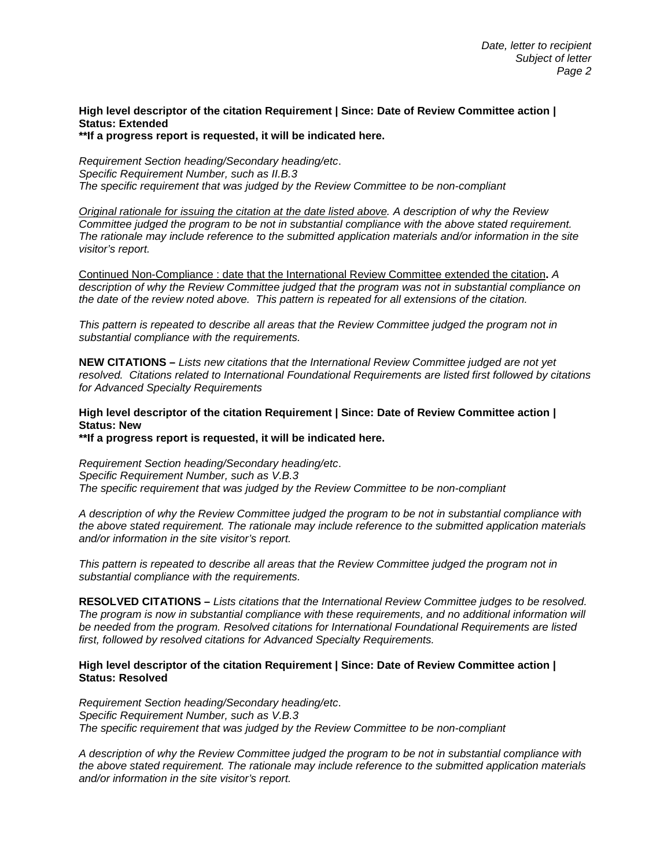## **High level descriptor of the citation Requirement | Since: Date of Review Committee action | Status: Extended**

**\*\*If a progress report is requested, it will be indicated here.**

*Requirement Section heading/Secondary heading/etc*. *Specific Requirement Number, such as II.B.3 The specific requirement that was judged by the Review Committee to be non-compliant*

*Original rationale for issuing the citation at the date listed above. A description of why the Review Committee judged the program to be not in substantial compliance with the above stated requirement. The rationale may include reference to the submitted application materials and/or information in the site visitor's report.*

Continued Non-Compliance : date that the International Review Committee extended the citation**.** *A description of why the Review Committee judged that the program was not in substantial compliance on the date of the review noted above. This pattern is repeated for all extensions of the citation.*

*This pattern is repeated to describe all areas that the Review Committee judged the program not in substantial compliance with the requirements.*

**NEW CITATIONS –** *Lists new citations that the International Review Committee judged are not yet resolved. Citations related to International Foundational Requirements are listed first followed by citations for Advanced Specialty Requirements*

### **High level descriptor of the citation Requirement | Since: Date of Review Committee action | Status: New**

**\*\*If a progress report is requested, it will be indicated here.**

*Requirement Section heading/Secondary heading/etc*. *Specific Requirement Number, such as V.B.3 The specific requirement that was judged by the Review Committee to be non-compliant*

*A description of why the Review Committee judged the program to be not in substantial compliance with the above stated requirement. The rationale may include reference to the submitted application materials and/or information in the site visitor's report.*

*This pattern is repeated to describe all areas that the Review Committee judged the program not in substantial compliance with the requirements.*

**RESOLVED CITATIONS –** *Lists citations that the International Review Committee judges to be resolved. The program is now in substantial compliance with these requirements, and no additional information will be needed from the program. Resolved citations for International Foundational Requirements are listed first, followed by resolved citations for Advanced Specialty Requirements.*

#### **High level descriptor of the citation Requirement | Since: Date of Review Committee action | Status: Resolved**

*Requirement Section heading/Secondary heading/etc*. *Specific Requirement Number, such as V.B.3 The specific requirement that was judged by the Review Committee to be non-compliant*

*A description of why the Review Committee judged the program to be not in substantial compliance with the above stated requirement. The rationale may include reference to the submitted application materials and/or information in the site visitor's report.*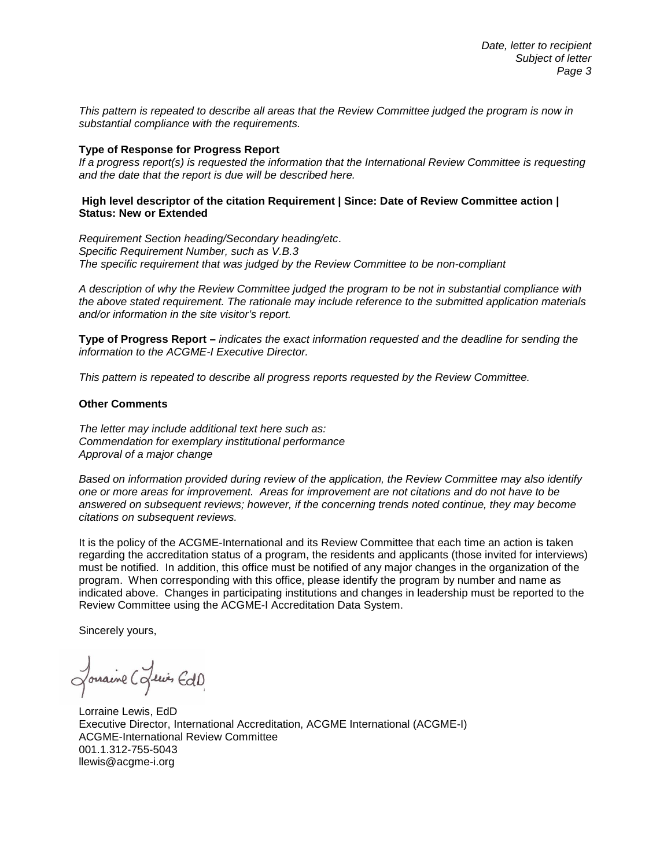*This pattern is repeated to describe all areas that the Review Committee judged the program is now in substantial compliance with the requirements.*

#### **Type of Response for Progress Report**

*If a progress report(s) is requested the information that the International Review Committee is requesting and the date that the report is due will be described here.*

#### **High level descriptor of the citation Requirement | Since: Date of Review Committee action | Status: New or Extended**

*Requirement Section heading/Secondary heading/etc*. *Specific Requirement Number, such as V.B.3 The specific requirement that was judged by the Review Committee to be non-compliant*

*A description of why the Review Committee judged the program to be not in substantial compliance with the above stated requirement. The rationale may include reference to the submitted application materials and/or information in the site visitor's report.*

**Type of Progress Report –** *indicates the exact information requested and the deadline for sending the information to the ACGME-I Executive Director.* 

*This pattern is repeated to describe all progress reports requested by the Review Committee.*

#### **Other Comments**

*The letter may include additional text here such as: Commendation for exemplary institutional performance Approval of a major change* 

*Based on information provided during review of the application, the Review Committee may also identify one or more areas for improvement. Areas for improvement are not citations and do not have to be answered on subsequent reviews; however, if the concerning trends noted continue, they may become citations on subsequent reviews.* 

It is the policy of the ACGME-International and its Review Committee that each time an action is taken regarding the accreditation status of a program, the residents and applicants (those invited for interviews) must be notified. In addition, this office must be notified of any major changes in the organization of the program. When corresponding with this office, please identify the program by number and name as indicated above. Changes in participating institutions and changes in leadership must be reported to the Review Committee using the ACGME-I Accreditation Data System.

Sincerely yours,

Journine Cofewis EdD

Lorraine Lewis, EdD Executive Director, International Accreditation, ACGME International (ACGME-I) ACGME-International Review Committee 001.1.312-755-5043 [llewis@acgme-i.org](mailto:llewis@acgme-i.org)